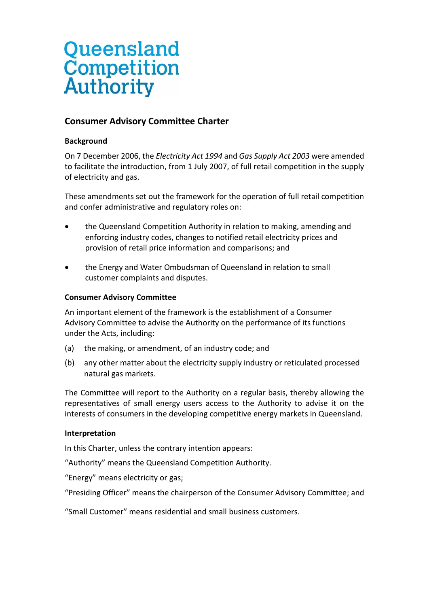# Queensland Competition **Authority**

# **Consumer Advisory Committee Charter**

# **Background**

On 7 December 2006, the *Electricity Act 1994* and *Gas Supply Act 2003* were amended to facilitate the introduction, from 1 July 2007, of full retail competition in the supply of electricity and gas.

These amendments set out the framework for the operation of full retail competition and confer administrative and regulatory roles on:

- the Queensland Competition Authority in relation to making, amending and enforcing industry codes, changes to notified retail electricity prices and provision of retail price information and comparisons; and
- the Energy and Water Ombudsman of Queensland in relation to small customer complaints and disputes.

## **Consumer Advisory Committee**

An important element of the framework is the establishment of a Consumer Advisory Committee to advise the Authority on the performance of its functions under the Acts, including:

- (a) the making, or amendment, of an industry code; and
- (b) any other matter about the electricity supply industry or reticulated processed natural gas markets.

The Committee will report to the Authority on a regular basis, thereby allowing the representatives of small energy users access to the Authority to advise it on the interests of consumers in the developing competitive energy markets in Queensland.

## **Interpretation**

In this Charter, unless the contrary intention appears:

"Authority" means the Queensland Competition Authority.

"Energy" means electricity or gas;

"Presiding Officer" means the chairperson of the Consumer Advisory Committee; and

"Small Customer" means residential and small business customers.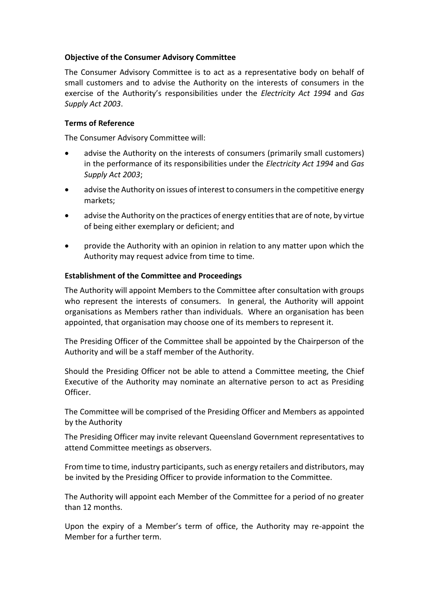#### **Objective of the Consumer Advisory Committee**

The Consumer Advisory Committee is to act as a representative body on behalf of small customers and to advise the Authority on the interests of consumers in the exercise of the Authority's responsibilities under the *Electricity Act 1994* and *Gas Supply Act 2003*.

#### **Terms of Reference**

The Consumer Advisory Committee will:

- advise the Authority on the interests of consumers (primarily small customers) in the performance of its responsibilities under the *Electricity Act 1994* and *Gas Supply Act 2003*;
- advise the Authority on issues of interest to consumers in the competitive energy markets;
- advise the Authority on the practices of energy entities that are of note, by virtue of being either exemplary or deficient; and
- provide the Authority with an opinion in relation to any matter upon which the Authority may request advice from time to time.

#### **Establishment of the Committee and Proceedings**

The Authority will appoint Members to the Committee after consultation with groups who represent the interests of consumers. In general, the Authority will appoint organisations as Members rather than individuals. Where an organisation has been appointed, that organisation may choose one of its members to represent it.

The Presiding Officer of the Committee shall be appointed by the Chairperson of the Authority and will be a staff member of the Authority.

Should the Presiding Officer not be able to attend a Committee meeting, the Chief Executive of the Authority may nominate an alternative person to act as Presiding Officer.

The Committee will be comprised of the Presiding Officer and Members as appointed by the Authority

The Presiding Officer may invite relevant Queensland Government representatives to attend Committee meetings as observers.

From time to time, industry participants, such as energy retailers and distributors, may be invited by the Presiding Officer to provide information to the Committee.

The Authority will appoint each Member of the Committee for a period of no greater than 12 months.

Upon the expiry of a Member's term of office, the Authority may re-appoint the Member for a further term.